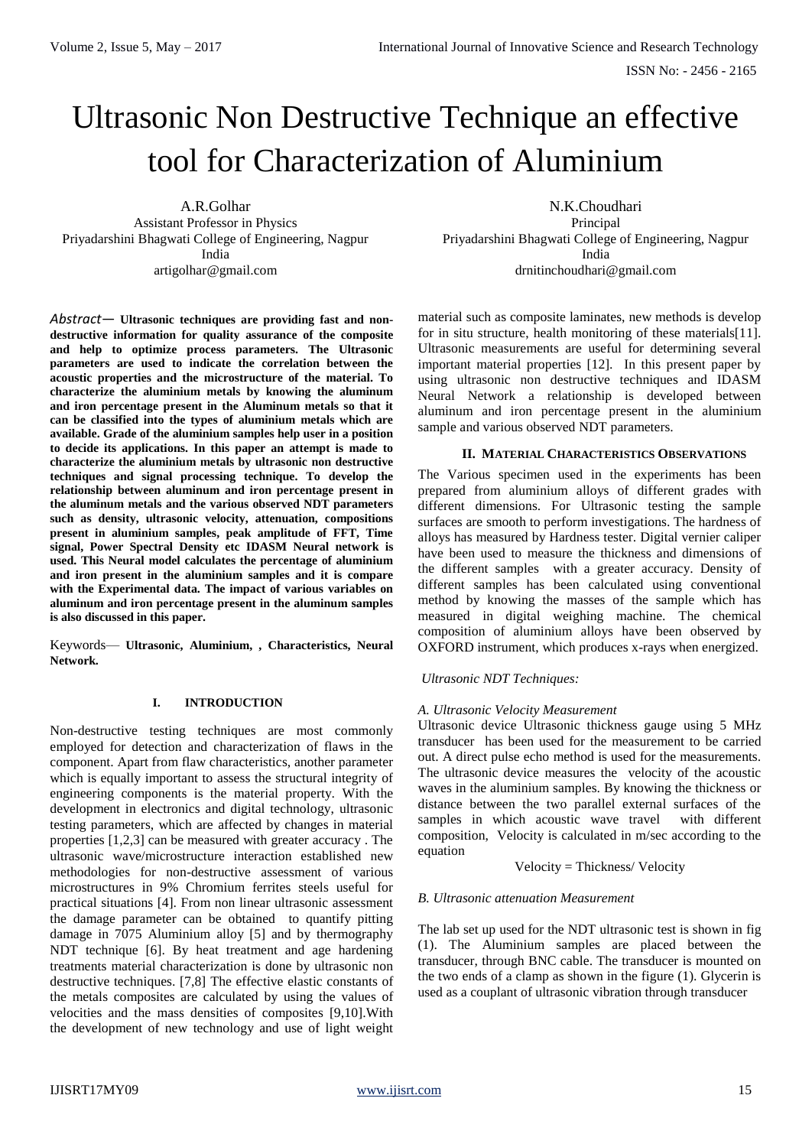# Ultrasonic Non Destructive Technique an effective tool for Characterization of Aluminium

A.R.Golhar Assistant Professor in Physics Priyadarshini Bhagwati College of Engineering, Nagpur India artigolhar@gmail.com

*Abstract*— **Ultrasonic techniques are providing fast and nondestructive information for quality assurance of the composite and help to optimize process parameters. The Ultrasonic parameters are used to indicate the correlation between the acoustic properties and the microstructure of the material. To characterize the aluminium metals by knowing the aluminum and iron percentage present in the Aluminum metals so that it can be classified into the types of aluminium metals which are available. Grade of the aluminium samples help user in a position to decide its applications. In this paper an attempt is made to characterize the aluminium metals by ultrasonic non destructive techniques and signal processing technique. To develop the relationship between aluminum and iron percentage present in the aluminum metals and the various observed NDT parameters such as density, ultrasonic velocity, attenuation, compositions present in aluminium samples, peak amplitude of FFT, Time signal, Power Spectral Density etc IDASM Neural network is used. This Neural model calculates the percentage of aluminium and iron present in the aluminium samples and it is compare with the Experimental data. The impact of various variables on aluminum and iron percentage present in the aluminum samples is also discussed in this paper.**

Keywords— **Ultrasonic, Aluminium, , Characteristics, Neural Network.**

#### **I. INTRODUCTION**

Non-destructive testing techniques are most commonly employed for detection and characterization of flaws in the component. Apart from flaw characteristics, another parameter which is equally important to assess the structural integrity of engineering components is the material property. With the development in electronics and digital technology, ultrasonic testing parameters, which are affected by changes in material properties [1,2,3] can be measured with greater accuracy . The ultrasonic wave/microstructure interaction established new methodologies for non-destructive assessment of various microstructures in 9% Chromium ferrites steels useful for practical situations [4]. From non linear ultrasonic assessment the damage parameter can be obtained to quantify pitting damage in 7075 Aluminium alloy [5] and by thermography NDT technique [6]. By heat treatment and age hardening treatments material characterization is done by ultrasonic non destructive techniques. [7,8] The effective elastic constants of the metals composites are calculated by using the values of velocities and the mass densities of composites [9,10].With the development of new technology and use of light weight

N.K.Choudhari Principal Priyadarshini Bhagwati College of Engineering, Nagpur India drnitinchoudhari@gmail.com

material such as composite laminates, new methods is develop for in situ structure, health monitoring of these materials[11]. Ultrasonic measurements are useful for determining several important material properties [12]. In this present paper by using ultrasonic non destructive techniques and IDASM Neural Network a relationship is developed between aluminum and iron percentage present in the aluminium sample and various observed NDT parameters.

## **II. MATERIAL CHARACTERISTICS OBSERVATIONS**

The Various specimen used in the experiments has been prepared from aluminium alloys of different grades with different dimensions. For Ultrasonic testing the sample surfaces are smooth to perform investigations. The hardness of alloys has measured by Hardness tester. Digital vernier caliper have been used to measure the thickness and dimensions of the different samples with a greater accuracy. Density of different samples has been calculated using conventional method by knowing the masses of the sample which has measured in digital weighing machine. The chemical composition of aluminium alloys have been observed by OXFORD instrument, which produces x-rays when energized.

# *Ultrasonic NDT Techniques:*

# *A. Ultrasonic Velocity Measurement*

Ultrasonic device Ultrasonic thickness gauge using 5 MHz transducer has been used for the measurement to be carried out. A direct pulse echo method is used for the measurements. The ultrasonic device measures the velocity of the acoustic waves in the aluminium samples. By knowing the thickness or distance between the two parallel external surfaces of the samples in which acoustic wave travel with different samples in which acoustic wave travel composition, Velocity is calculated in m/sec according to the equation

Velocity = Thickness/ Velocity

#### *B. Ultrasonic attenuation Measurement*

The lab set up used for the NDT ultrasonic test is shown in fig (1). The Aluminium samples are placed between the transducer, through BNC cable. The transducer is mounted on the two ends of a clamp as shown in the figure (1). Glycerin is used as a couplant of ultrasonic vibration through transducer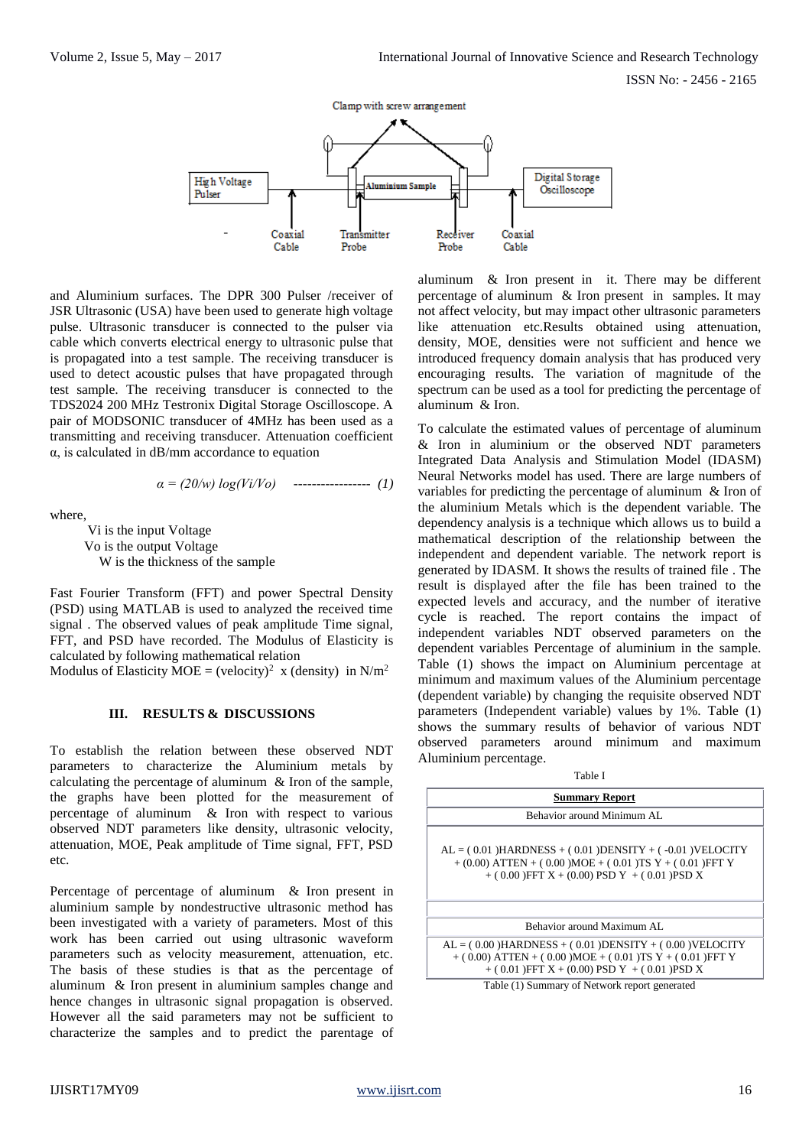ISSN No: - 2456 - 2165



and Aluminium surfaces. The DPR 300 Pulser /receiver of JSR Ultrasonic (USA) have been used to generate high voltage pulse. Ultrasonic transducer is connected to the pulser via cable which converts electrical energy to ultrasonic pulse that is propagated into a test sample. The receiving transducer is used to detect acoustic pulses that have propagated through test sample. The receiving transducer is connected to the TDS2024 200 MHz Testronix Digital Storage Oscilloscope. A pair of MODSONIC transducer of 4MHz has been used as a transmitting and receiving transducer. Attenuation coefficient α, is calculated in dB/mm accordance to equation

$$
\alpha = (20/w) \log(Vi/Vo) \quad \dots \dots \dots \dots \dots \dots \quad (1)
$$

where,

 Vi is the input Voltage Vo is the output Voltage W is the thickness of the sample

Fast Fourier Transform (FFT) and power Spectral Density (PSD) using MATLAB is used to analyzed the received time signal . The observed values of peak amplitude Time signal, FFT, and PSD have recorded. The Modulus of Elasticity is calculated by following mathematical relation Modulus of Elasticity MOE = (velocity)<sup>2</sup> x (density) in N/m<sup>2</sup>

#### **III. RESULTS & DISCUSSIONS**

To establish the relation between these observed NDT parameters to characterize the Aluminium metals by calculating the percentage of aluminum & Iron of the sample, the graphs have been plotted for the measurement of percentage of aluminum & Iron with respect to various observed NDT parameters like density, ultrasonic velocity, attenuation, MOE, Peak amplitude of Time signal, FFT, PSD etc.

Percentage of percentage of aluminum & Iron present in aluminium sample by nondestructive ultrasonic method has been investigated with a variety of parameters. Most of this work has been carried out using ultrasonic waveform parameters such as velocity measurement, attenuation, etc. The basis of these studies is that as the percentage of aluminum & Iron present in aluminium samples change and hence changes in ultrasonic signal propagation is observed. However all the said parameters may not be sufficient to characterize the samples and to predict the parentage of

aluminum & Iron present in it. There may be different percentage of aluminum & Iron present in samples. It may not affect velocity, but may impact other ultrasonic parameters like attenuation etc.Results obtained using attenuation, density, MOE, densities were not sufficient and hence we introduced frequency domain analysis that has produced very encouraging results. The variation of magnitude of the spectrum can be used as a tool for predicting the percentage of aluminum & Iron.

To calculate the estimated values of percentage of aluminum & Iron in aluminium or the observed NDT parameters Integrated Data Analysis and Stimulation Model (IDASM) Neural Networks model has used. There are large numbers of variables for predicting the percentage of aluminum & Iron of the aluminium Metals which is the dependent variable. The dependency analysis is a technique which allows us to build a mathematical description of the relationship between the independent and dependent variable. The network report is generated by IDASM. It shows the results of trained file . The result is displayed after the file has been trained to the expected levels and accuracy, and the number of iterative cycle is reached. The report contains the impact of independent variables NDT observed parameters on the dependent variables Percentage of aluminium in the sample. Table (1) shows the impact on Aluminium percentage at minimum and maximum values of the Aluminium percentage (dependent variable) by changing the requisite observed NDT parameters (Independent variable) values by 1%. Table (1) shows the summary results of behavior of various NDT observed parameters around minimum and maximum Aluminium percentage.

| Table I                                                                                                                                                                                                                    |  |  |
|----------------------------------------------------------------------------------------------------------------------------------------------------------------------------------------------------------------------------|--|--|
| <b>Summary Report</b>                                                                                                                                                                                                      |  |  |
| Behavior around Minimum AL                                                                                                                                                                                                 |  |  |
| $AL = (0.01) HARDNESS + (0.01)DENSITY + (-0.01)VELOCITY$<br>$+$ (0.00) ATTEN + (0.00) MOE + (0.01) TS Y + (0.01) FFT Y<br>$+$ (0.00) FFT X + (0.00) PSD Y + (0.01) PSD X                                                   |  |  |
| Behavior around Maximum AL                                                                                                                                                                                                 |  |  |
| $AL = (0.00) HARDNESS + (0.01)DENSTITY + (0.00) VELOCITY$<br>$+$ (0.00) ATTEN + (0.00) MOE + (0.01) TS Y + (0.01) FFT Y<br>$+$ (0.01) FFT X + (0.00) PSD Y + (0.01) PSD X<br>Table (1) Summary of Network report generated |  |  |
|                                                                                                                                                                                                                            |  |  |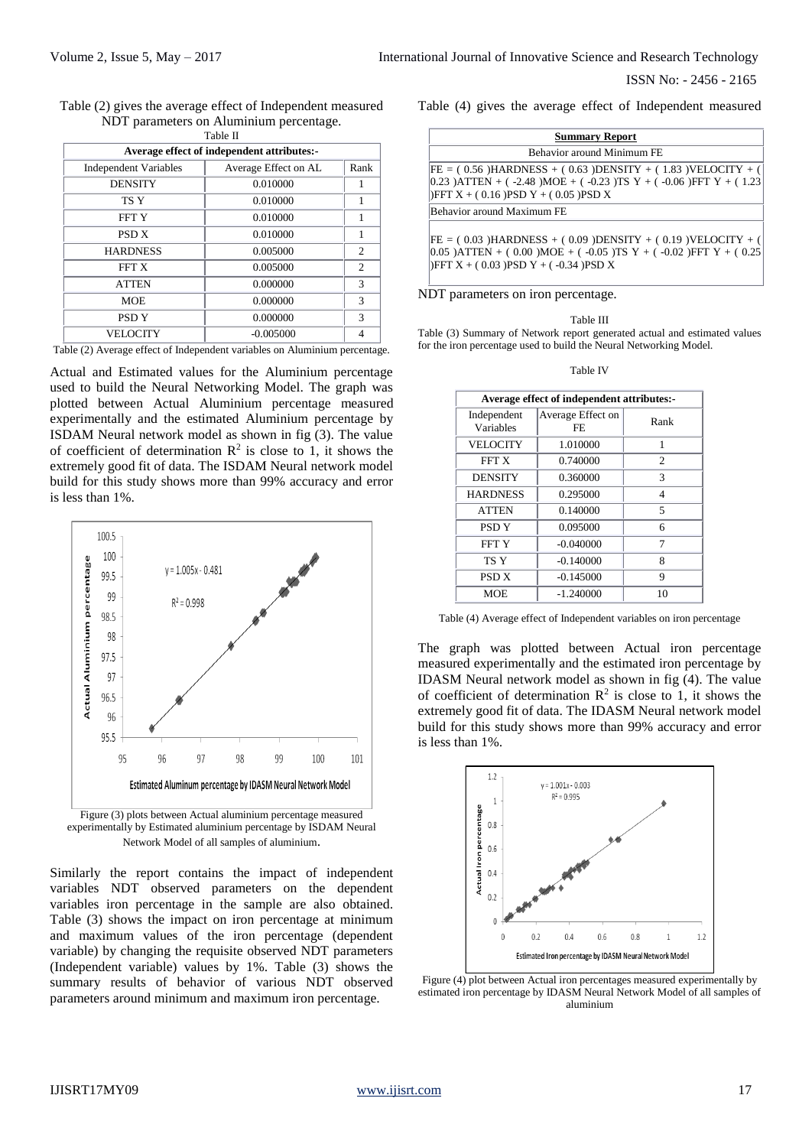ISSN No: - 2456 - 2165

| Table (2) gives the average effect of Independent measured |
|------------------------------------------------------------|
| NDT parameters on Aluminium percentage.                    |
|                                                            |

| таріе п                                    |                              |                |  |  |
|--------------------------------------------|------------------------------|----------------|--|--|
| Average effect of independent attributes:- |                              |                |  |  |
| <b>Independent Variables</b>               | Average Effect on AL<br>Rank |                |  |  |
| <b>DENSITY</b>                             | 0.010000                     |                |  |  |
| TS <sub>Y</sub>                            | 0.010000                     | 1              |  |  |
| <b>FFTY</b>                                | 0.010000                     | 1              |  |  |
| PSD <sub>X</sub>                           | 0.010000                     | 1              |  |  |
| <b>HARDNESS</b>                            | 0.005000                     | 2              |  |  |
| FFT X                                      | 0.005000                     | $\overline{c}$ |  |  |
| <b>ATTEN</b>                               | 0.000000                     | 3              |  |  |
| <b>MOE</b>                                 | 0.000000                     | 3              |  |  |
| PSD <sub>Y</sub>                           | 0.000000                     | 3              |  |  |
| <b>VELOCITY</b>                            | $-0.005000$                  | 4              |  |  |

Table (2) Average effect of Independent variables on Aluminium percentage.

Actual and Estimated values for the Aluminium percentage used to build the Neural Networking Model. The graph was plotted between Actual Aluminium percentage measured experimentally and the estimated Aluminium percentage by ISDAM Neural network model as shown in fig (3). The value of coefficient of determination  $\mathbb{R}^2$  is close to 1, it shows the extremely good fit of data. The ISDAM Neural network model build for this study shows more than 99% accuracy and error is less than 1%.



experimentally by Estimated aluminium percentage by ISDAM Neural Network Model of all samples of aluminium.

Similarly the report contains the impact of independent variables NDT observed parameters on the dependent variables iron percentage in the sample are also obtained. Table (3) shows the impact on iron percentage at minimum and maximum values of the iron percentage (dependent variable) by changing the requisite observed NDT parameters (Independent variable) values by 1%. Table (3) shows the summary results of behavior of various NDT observed parameters around minimum and maximum iron percentage.

Table (4) gives the average effect of Independent measured

| <b>Summary Report</b> |                                                                                                                                                                                                    |  |
|-----------------------|----------------------------------------------------------------------------------------------------------------------------------------------------------------------------------------------------|--|
|                       | Behavior around Minimum FE                                                                                                                                                                         |  |
|                       | $FE = (0.56) HARDNESS + (0.63)DENSITY + (1.83)VELOCITY + ()$<br>$[0.23)$ ATTEN + (-2.48)MOE + (-0.23)TS Y + (-0.06)FFT Y + (1.23<br>$\text{DFFT } X + (0.16) \text{PSD } Y + (0.05) \text{PSD } X$ |  |
|                       | Behavior around Maximum FE                                                                                                                                                                         |  |
|                       | $FE = (0.03) HARDNESS + (0.09)DENSITY + (0.19)VELOCITY + (0.019)VELOCITY$<br>$ 0.05\rangle$ )ATTEN + (0.00)MOE + (-0.05)TS Y + (-0.02)FFT Y + (0.25<br>)FFT $X + (0.03)$ pSD $Y + (-0.34)$ pSD $X$ |  |

NDT parameters on iron percentage.

#### Table III

Table (3) Summary of Network report generated actual and estimated values for the iron percentage used to build the Neural Networking Model.

Table IV

| Average effect of independent attributes:- |                          |                |  |  |
|--------------------------------------------|--------------------------|----------------|--|--|
| Independent<br>Variables                   | Average Effect on<br>FF. | Rank           |  |  |
| <b>VELOCITY</b>                            | 1.010000                 | 1              |  |  |
| FFT X                                      | 0.740000                 | $\overline{c}$ |  |  |
| <b>DENSITY</b>                             | 0.360000                 | 3              |  |  |
| <b>HARDNESS</b>                            | 0.295000                 | 4              |  |  |
| <b>ATTEN</b>                               | 0.140000                 | 5              |  |  |
| PSD <sub>Y</sub>                           | 0.095000                 | 6              |  |  |
| <b>FFTY</b>                                | $-0.040000$              | 7              |  |  |
| TS <sub>Y</sub>                            | $-0.140000$              | 8              |  |  |
| <b>PSD X</b>                               | $-0.145000$              | 9              |  |  |
| MOE                                        | $-1.240000$              | 10             |  |  |

Table (4) Average effect of Independent variables on iron percentage

The graph was plotted between Actual iron percentage measured experimentally and the estimated iron percentage by IDASM Neural network model as shown in fig (4). The value of coefficient of determination  $\mathbb{R}^2$  is close to 1, it shows the extremely good fit of data. The IDASM Neural network model build for this study shows more than 99% accuracy and error is less than 1%.



Figure (4) plot between Actual iron percentages measured experimentally by estimated iron percentage by IDASM Neural Network Model of all samples of aluminium